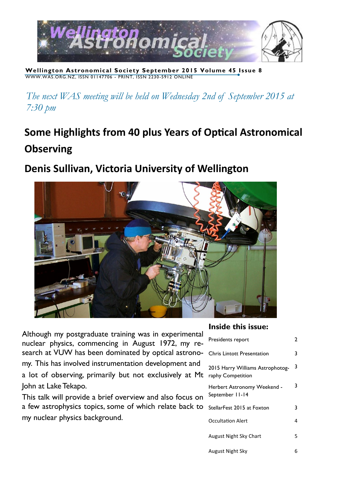

**Wellington Astronomical Society September 2015 Volume 45 Issue 8** WWW.WAS.ORG.NZ, ISSN 01147706 - PRINT, ISSN 2230 -5912 ONLINE

*The next WAS meeting will be held on Wednesday 2nd of September 2015 at 7:30 pm*

# **Some Highlights from 40 plus Years of Optical Astronomical Observing**

# **Denis Sullivan, Victoria University of Wellington**



Although my postgraduate training was in experimental nuclear physics, commencing in August 1972, my research at VUW has been dominated by optical astronomy. This has involved instrumentation development and a lot of observing, primarily but not exclusively at Mt John at Lake Tekapo.

This talk will provide a brief overview and also focus on a few astrophysics topics, some of which relate back to my nuclear physics background.

#### **Inside this issue:**

| Presidents report                                     | 2 |
|-------------------------------------------------------|---|
| <b>Chris Lintott Presentation</b>                     | 3 |
| 2015 Harry Williams Astrophotog-<br>raphy Competition | 3 |
| Herbert Astronomy Weekend -<br>September 11-14        | 3 |
| StellarFest 2015 at Foxton                            | 3 |
| <b>Occultation Alert</b>                              | 4 |
| August Night Sky Chart                                | 5 |
| August Night Sky                                      | 6 |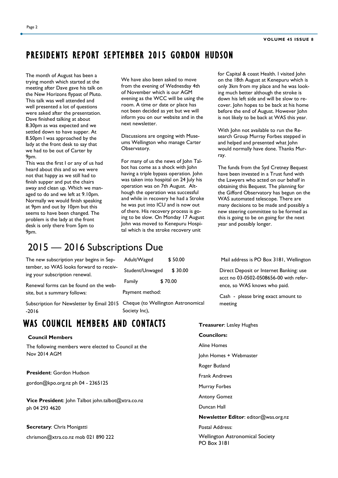## PRESIDENTS REPORT SEPTEMBER 2015 GORDON HUDSON

The month of August has been a trying month which started at the meeting after Dave gave his talk on the New Horizons flypast of Pluto. This talk was well attended and well presented a lot of questions were asked after the presentation. Dave finished talking at about 8.30pm as was expected and we settled down to have supper. At 8.50pm I was approached by the lady at the front desk to say that we had to be out of Carter by 9pm.

This was the first I or any of us had heard about this and so we were not that happy as we still had to finish supper and put the chairs away and clean up. Which we managed to do and we left at 9.10pm. Normally we would finish speaking at 9pm and out by 10pm but this seems to have been changed. The problem is the lady at the front desk is only there from 5pm to 9pm.

We have also been asked to move from the evening of Wednesday 4th of November which is our AGM evening as the WCC will be using the room. A time or date or place has not been decided as yet but we will inform you on our website and in the next newsletter.

Discussions are ongoing with Museums Wellington who manage Carter Observatory.

For many of us the news of John Talbot has come as a shock with John having a triple bypass operation. John was taken into hospital on 24 July his operation was on 7th August. Although the operation was successful and while in recovery he had a Stroke he was put into ICU and is now out of there. His recovery process is going to be slow. On Monday 17 August John was moved to Kenepuru Hospital which is the stroke recovery unit

for Capital & coast Health. I visited John on the 18th August at Kenepuru which is only 3km from my place and he was looking much better although the stroke is down his left side and will be slow to recover. John hopes to be back at his home before the end of August. However John is not likely to be back at WAS this year.

With John not available to run the Research Group Murray Forbes stepped in and helped and presented what John would normally have done. Thanks Murray.

The funds from the Syd Cretney Bequest have been invested in a Trust fund with the Lawyers who acted on our behalf in obtaining this Bequest. The planning for the Gifford Observatory has begun on the WAS automated telescope. There are many decisions to be made and possibly a new steering committee to be formed as this is going to be on going for the next year and possibly longer.

## 2015 — 2016 Subscriptions Due

The new subscription year begins in September, so WAS looks forward to receiving your subscription renewal.

Renewal forms can be found on the website, but a summary follows:

Subscription for Newsletter by Email 2015 Cheque (to Wellington Astronomical -2016

### WAS COUNCIL MEMBERS AND CONTACTS

#### **Council Members**

The following members were elected to Council at the Nov 2014 AGM

**President**: Gordon Hudson

gordon@kpo.org.nz ph 04 - 2365125

**Vice President**: John Talbot john.talbot@xtra.co.nz ph 04 293 4620

#### **Secretary**: Chris Monigatti

chrismon@xtra.co.nz mob 021 890 222

| Adult/Waged     | \$50.00 |  |  |  |
|-----------------|---------|--|--|--|
| Student/Unwaged | \$30.00 |  |  |  |
| Family          | \$70.00 |  |  |  |

Payment method:

Society Inc),

Mail address is PO Box 3181, Wellington

Direct Deposit or Internet Banking: use acct no 03-0502-0508656-00 with reference, so WAS knows who paid.

Cash - please bring exact amount to meeting

#### **Treasurer**: Lesley Hughes

**Councilors:** 

- Aline Homes
- John Homes + Webmaster
- Roger Butland
- Frank Andrews
- Murray Forbes
- Antony Gomez
- Duncan Hall

**Newsletter Editor**: editor@was.org.nz

Postal Address:

Wellington Astronomical Society PO Box 3181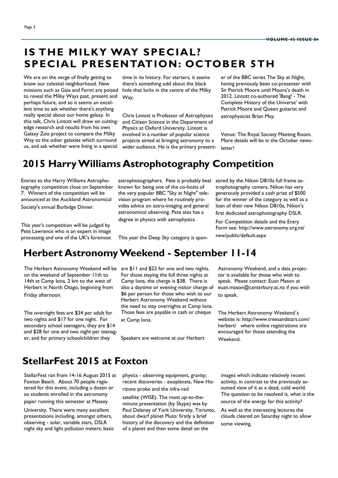## **IS THE MILKY WAY SPECIAL? SPECIAL PRESENTATION: OCTOBER 5TH**

We are on the verge of finally getting to know our celestial neighborhood. New missions such as Gaia and Fermi are poised to reveal the Milky Ways past, present and perhaps future, and so it seems an excellent time to ask whether there's anything really special about our home galaxy. In this talk, Chris Lintott will draw on cuttingedge research and results from his own Galaxy Zoo project to compare the Milky Way to the other galaxies which surround us, and ask whether were living in a special

time in its history. For starters, it seems there's something odd about the black hole that lurks in the centre of the Milky Way.

Chris Lintott is Professor of Astrophysics and Citizen Science in the Department of Physics at Oxford University. Lintott is involved in a number of popular science projects aimed at bringing astronomy to a wider audience. He is the primary presenter of the BBC series The Sky at Night, having previously been co-presenter with Sir Patrick Moore until Moore's death in 2012. Lintott co-authored 'Bang! - The Complete History of the Universe' with Patrick Moore and Queen guitarist and astrophysicist Brian May.

Venue: The Royal Society Meeting Room. More details will be in the October newsletter!

## **2015 Harry Williams Astrophotography Competition**

Entries to the Harry Williams Astrophotography competition close on September 7. Winners of the competition will be announced at the Auckland Astronomical Society's annual Burbidge Dinner.

This year's competition will be judged by Pete Lawrence who is an expert in image processing and one of the UK's foremost known for being one of the co-hosts of the very popular BBC "Sky at Night" television program where he routinely provides advice on astro-imaging and general astronomical observing. Pete also has a degree in physics with astrophysics.

This year the Deep Sky category is spon-

astrophotographers. Pete is probably best sored by the Nikon D810a full frame astrophotography camera. Nikon has very generously provided a cash prize of \$500 for the winner of the category as well as a loan of their new Nikon D810a, Nikon's first dedicated astrophotography DSLR.

> For Competition details and the Entry Form see: http://www.astronomy.org.nz/ new/public/default.aspx

## **Herbert Astronomy Weekend - September 11-14**

The Herbert Astronomy Weekend will be on the weekend of September 11th to 14th at Camp Iona, 2 km to the west of Herbert in North Otago, beginning from Friday afternoon.

The overnight fees are \$34 per adult for two nights and \$17 for one night. For secondary school teenagers, they are \$14 and \$28 for one and two night per teenager, and for primary schoolchildren they

are \$11 and \$22 for one and two nights. For those staying the full three nights at Camp Iona, the charge is \$38. There is also a daytime or evening visitor charge of \$6 per person for those who wish to our Herbert Astronomy Weekend without the need to stay overnights at Camp Iona. Those fees are payable in cash or cheque at Camp Iona.

Speakers are welcome at our Herbert

Astronomy Weekend, and a data projector is available for those who wish to speak. Please contact: Euan Mason at euan.mason@canterbury.ac.nz if you wish to speak.

The Herbert Astronomy Weekend´s website is: http://www.treesandstars.com/ herbert/ where online registrations are encouraged for those attending the Weekend.

## **StellarFest 2015 at Foxton**

StellarFest ran from 14-16 August 2015 at Foxton Beach. About 70 people registered for this event, including a dozen or so students enrolled in the astronomy

paper running this semester at Massey

University. There were many excellent presentations including, amongst others, observing - solar, variable stars, DSLR night sky and light pollution meters; basic physics - observing equipment, gravity; recent discoveries - exoplanets, New Horizons probe and the infra-red

satellite (WISE). The most up-to-theminute presentation (by Skype) was by Paul Delaney of York University, Toronto, about dwarf planet Pluto: firstly a brief history of the discovery and the definition of a planet and then some detail on the

images which indicate relatively recent activity, in contrast to the previously assumed view of it as a dead, cold world. The question to be resolved is, what is the source of the energy for this activity?

As well as the interesting lectures the clouds cleared on Saturday night to allow some viewing.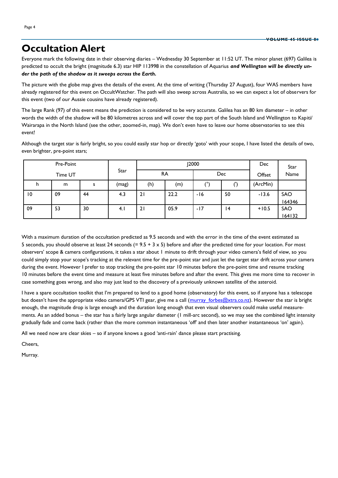## **Occultation Alert**

Everyone mark the following date in their observing diaries – Wednesday 30 September at 11:52 UT. The minor planet (697) Galilea is predicted to occult the bright (magnitude 6.3) star HIP 113998 in the constellation of Aquarius *and Wellington will be directly under the path of the shadow as it sweeps across the Earth.* 

The picture with the globe map gives the details of the event. At the time of writing (Thursday 27 August), four WAS members have already registered for this event on OccultWatcher. The path will also sweep across Australia, so we can expect a lot of observers for this event (two of our Aussie cousins have already registered).

The large Rank (97) of this event means the prediction is considered to be very accurate. Galilea has an 80 km diameter – in other words the width of the shadow will be 80 kilometres across and will cover the top part of the South Island and Wellington to Kapiti/ Wairarapa in the North Island (see the other, zoomed-in, map). We don't even have to leave our home observatories to see this event!

Although the target star is fairly bright, so you could easily star hop or directly 'goto' with your scope, I have listed the details of two, even brighter, pre-point stars;

| Pre-Point<br>Time UT |    |      | <b>J2000</b> |     |      | Dec | Star            |          |              |
|----------------------|----|------|--------------|-----|------|-----|-----------------|----------|--------------|
|                      |    | Star | RA           |     | Dec  |     | Name<br>Offset  |          |              |
| h                    | m  | s    | (mag)        | (h) | (m)  | ۵۱) |                 | (ArcMin) |              |
| 10                   | 09 | 44   | 4.3          | 21  | 22.2 | -16 | 50              | $-13.6$  | SAO<br>64346 |
| 09                   | 53 | 30   | 4.1          | 21  | 05.9 | -17 | $\overline{14}$ | $+10.5$  | SAO          |
|                      |    |      |              |     |      |     |                 |          | 164132       |

With a maximum duration of the occultation predicted as 9.5 seconds and with the error in the time of the event estimated as 5 seconds, you should observe at least 24 seconds  $(= 9.5 + 3 \times 5)$  before and after the predicted time for your location. For most observers' scope & camera configurations, it takes a star about 1 minute to drift through your video camera's field of view, so you could simply stop your scope's tracking at the relevant time for the pre-point star and just let the target star drift across your camera during the event. However I prefer to stop tracking the pre-point star 10 minutes before the pre-point time and resume tracking 10 minutes before the event time and measure at least five minutes before and after the event. This gives me more time to recover in case something goes wrong, and also may just lead to the discovery of a previously unknown satellite of the asteroid.

I have a spare occultation toolkit that I'm prepared to lend to a good home (observatory) for this event, so if anyone has a telescope but doesn't have the appropriate video camera/GPS VTI gear, give me a call ([murray\\_forbes@xtra.co.nz\).](mailto:murray_forbes@xtra.co.nz) However the star is bright enough, the magnitude drop is large enough and the duration long enough that even visual observers could make useful measurements. As an added bonus – the star has a fairly large angular diameter (1 mill-arc second), so we may see the combined light intensity gradually fade and come back (rather than the more common instantaneous 'off' and then later another instantaneous 'on' again).

All we need now are clear skies – so if anyone knows a good 'anti-rain' dance please start practising.

Cheers,

Murray.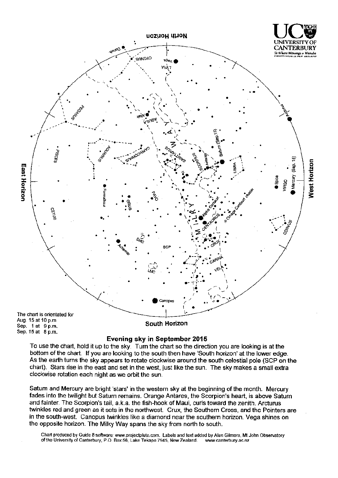

#### Evening sky in September 2015

To use the chart, hold it up to the sky. Turn the chart so the direction you are looking is at the bottom of the chart. If you are looking to the south then have 'South horizon' at the lower edge. As the earth turns the sky appears to rotate clockwise around the south celestial pole (SCP on the chart). Stars rise in the east and set in the west, just like the sun. The sky makes a small extra clockwise rotation each night as we orbit the sun.

Satum and Mercury are bright 'stars' in the western sky at the beginning of the month. Mercury fades into the twilight but Saturn remains. Orange Antares, the Scorpion's heart, is above Saturn and fainter. The Scorpion's tail, a.k.a. the fish-hook of Maui, curls toward the zenith. Arcturus twinkles red and green as it sets in the northwest. Crux, the Southern Cross, and the Pointers are in the south-west. Canopus twinkles like a diamond near the southern horizon. Vega shines on the opposite horizon. The Milky Way spans the sky from north to south.

Chart produced by Guide 8 software; www.projectpluto.com. Labels and text added by Alan Gilmore, Mt John Observatory of the University of Canterbury, P.O. Box 56, Lake Tekapo 7945, New Zealand. www.canterbury.ac.nz